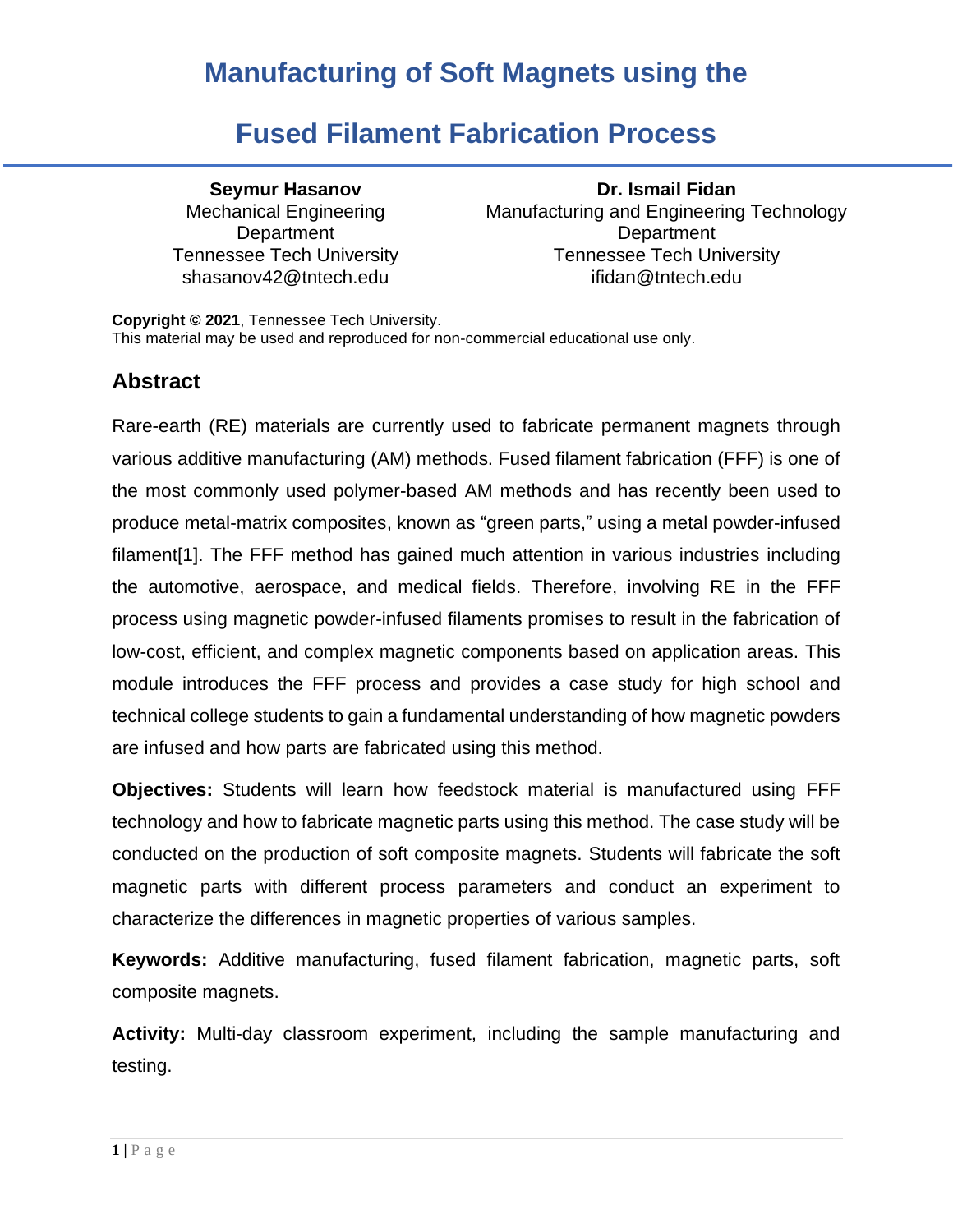### **Fused Filament Fabrication Process**

Mechanical Engineering **Department** 

**Seymur Hasanov Dr. Ismail Fidan** Manufacturing and Engineering Technology **Department** Tennessee Tech University Tennessee Tech University shasanov42@tntech.edu ifidan@tntech.edu

**Copyright © 2021**, Tennessee Tech University. This material may be used and reproduced for non-commercial educational use only.

### **Abstract**

Rare-earth (RE) materials are currently used to fabricate permanent magnets through various additive manufacturing (AM) methods. Fused filament fabrication (FFF) is one of the most commonly used polymer-based AM methods and has recently been used to produce metal-matrix composites, known as "green parts," using a metal powder-infused filament[1]. The FFF method has gained much attention in various industries including the automotive, aerospace, and medical fields. Therefore, involving RE in the FFF process using magnetic powder-infused filaments promises to result in the fabrication of low-cost, efficient, and complex magnetic components based on application areas. This module introduces the FFF process and provides a case study for high school and technical college students to gain a fundamental understanding of how magnetic powders are infused and how parts are fabricated using this method.

**Objectives:** Students will learn how feedstock material is manufactured using FFF technology and how to fabricate magnetic parts using this method. The case study will be conducted on the production of soft composite magnets. Students will fabricate the soft magnetic parts with different process parameters and conduct an experiment to characterize the differences in magnetic properties of various samples.

**Keywords:** Additive manufacturing, fused filament fabrication, magnetic parts, soft composite magnets.

**Activity:** Multi-day classroom experiment, including the sample manufacturing and testing.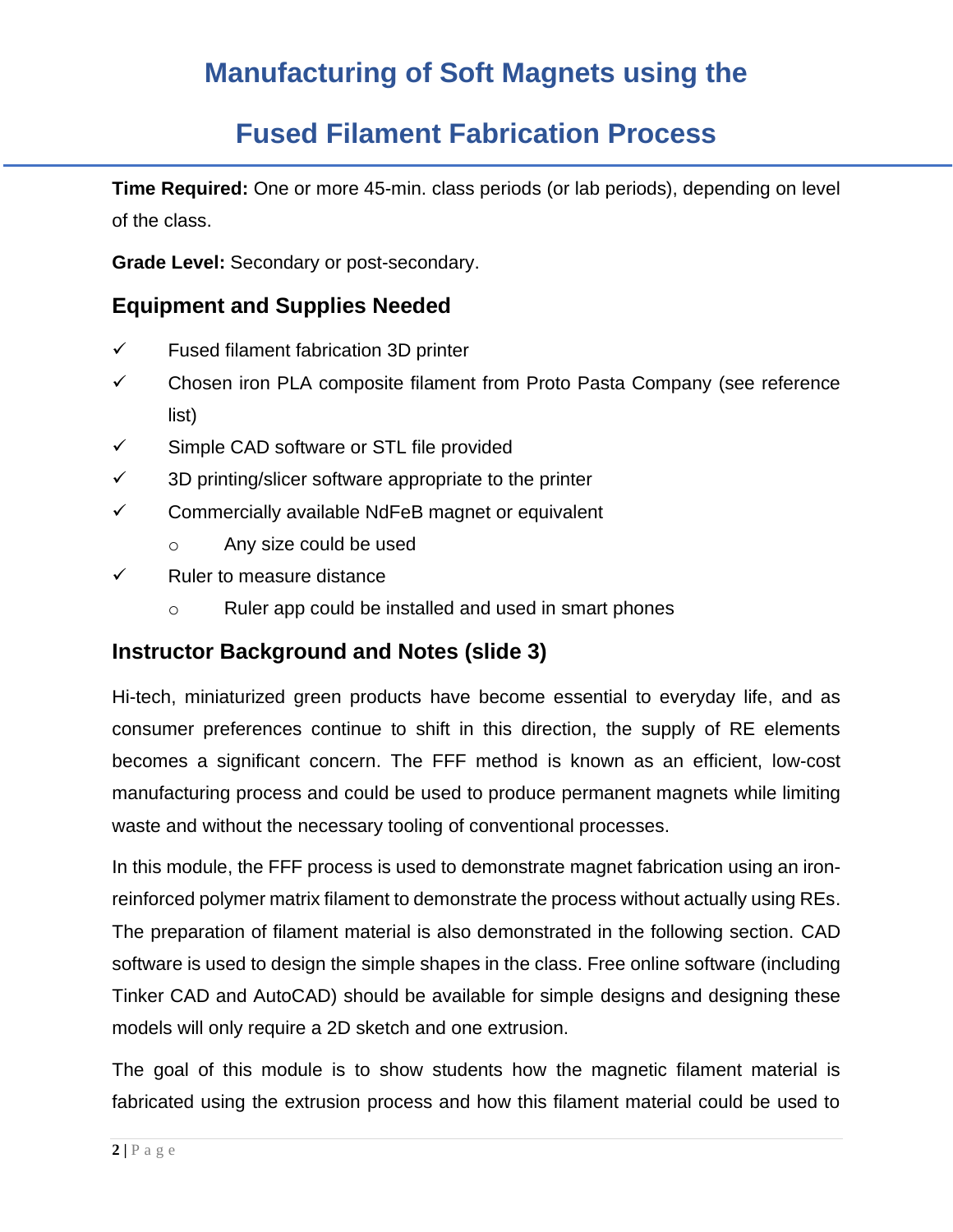# **Fused Filament Fabrication Process**

**Time Required:** One or more 45-min. class periods (or lab periods), depending on level of the class.

**Grade Level:** Secondary or post-secondary.

### **Equipment and Supplies Needed**

- $\checkmark$  Fused filament fabrication 3D printer
- ✓ Chosen iron PLA composite filament from Proto Pasta Company (see reference list)
- ✓ Simple CAD software or STL file provided
- $\checkmark$  3D printing/slicer software appropriate to the printer
- ✓ Commercially available NdFeB magnet or equivalent
	- o Any size could be used
- ✓ Ruler to measure distance
	- o Ruler app could be installed and used in smart phones

### **Instructor Background and Notes (slide 3)**

Hi-tech, miniaturized green products have become essential to everyday life, and as consumer preferences continue to shift in this direction, the supply of RE elements becomes a significant concern. The FFF method is known as an efficient, low-cost manufacturing process and could be used to produce permanent magnets while limiting waste and without the necessary tooling of conventional processes.

In this module, the FFF process is used to demonstrate magnet fabrication using an ironreinforced polymer matrix filament to demonstrate the process without actually using REs. The preparation of filament material is also demonstrated in the following section. CAD software is used to design the simple shapes in the class. Free online software (including Tinker CAD and AutoCAD) should be available for simple designs and designing these models will only require a 2D sketch and one extrusion.

The goal of this module is to show students how the magnetic filament material is fabricated using the extrusion process and how this filament material could be used to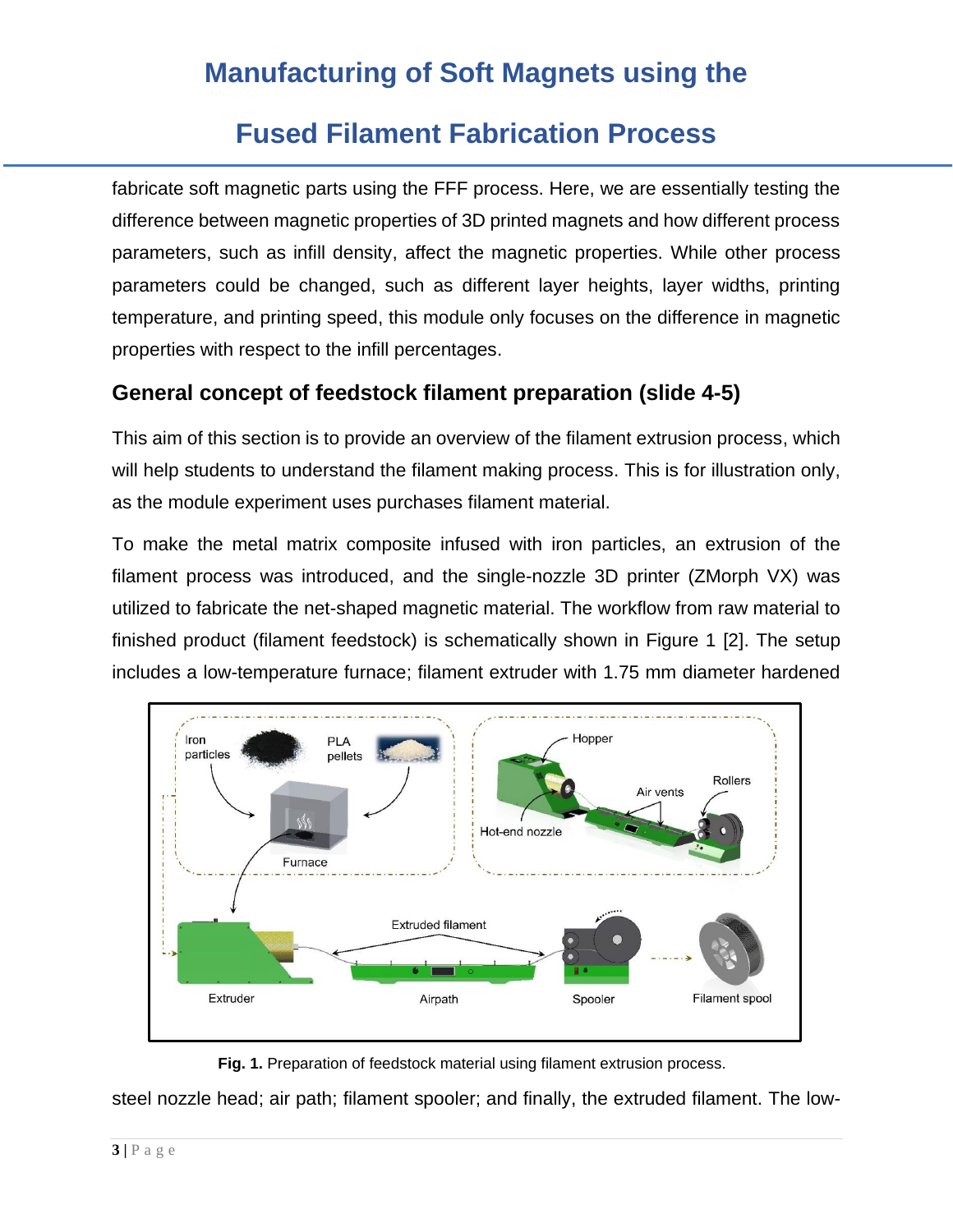### **Fused Filament Fabrication Process**

fabricate soft magnetic parts using the FFF process. Here, we are essentially testing the difference between magnetic properties of 3D printed magnets and how different process parameters, such as infill density, affect the magnetic properties. While other process parameters could be changed, such as different layer heights, layer widths, printing temperature, and printing speed, this module only focuses on the difference in magnetic properties with respect to the infill percentages.

### **General concept of feedstock filament preparation (slide 4-5)**

This aim of this section is to provide an overview of the filament extrusion process, which will help students to understand the filament making process. This is for illustration only, as the module experiment uses purchases filament material.

To make the metal matrix composite infused with iron particles, an extrusion of the filament process was introduced, and the single-nozzle 3D printer (ZMorph VX) was utilized to fabricate the net-shaped magnetic material. The workflow from raw material to finished product (filament feedstock) is schematically shown in Figure 1 [2]. The setup includes a low-temperature furnace; filament extruder with 1.75 mm diameter hardened



**Fig. 1.** Preparation of feedstock material using filament extrusion process.

steel nozzle head; air path; filament spooler; and finally, the extruded filament. The low-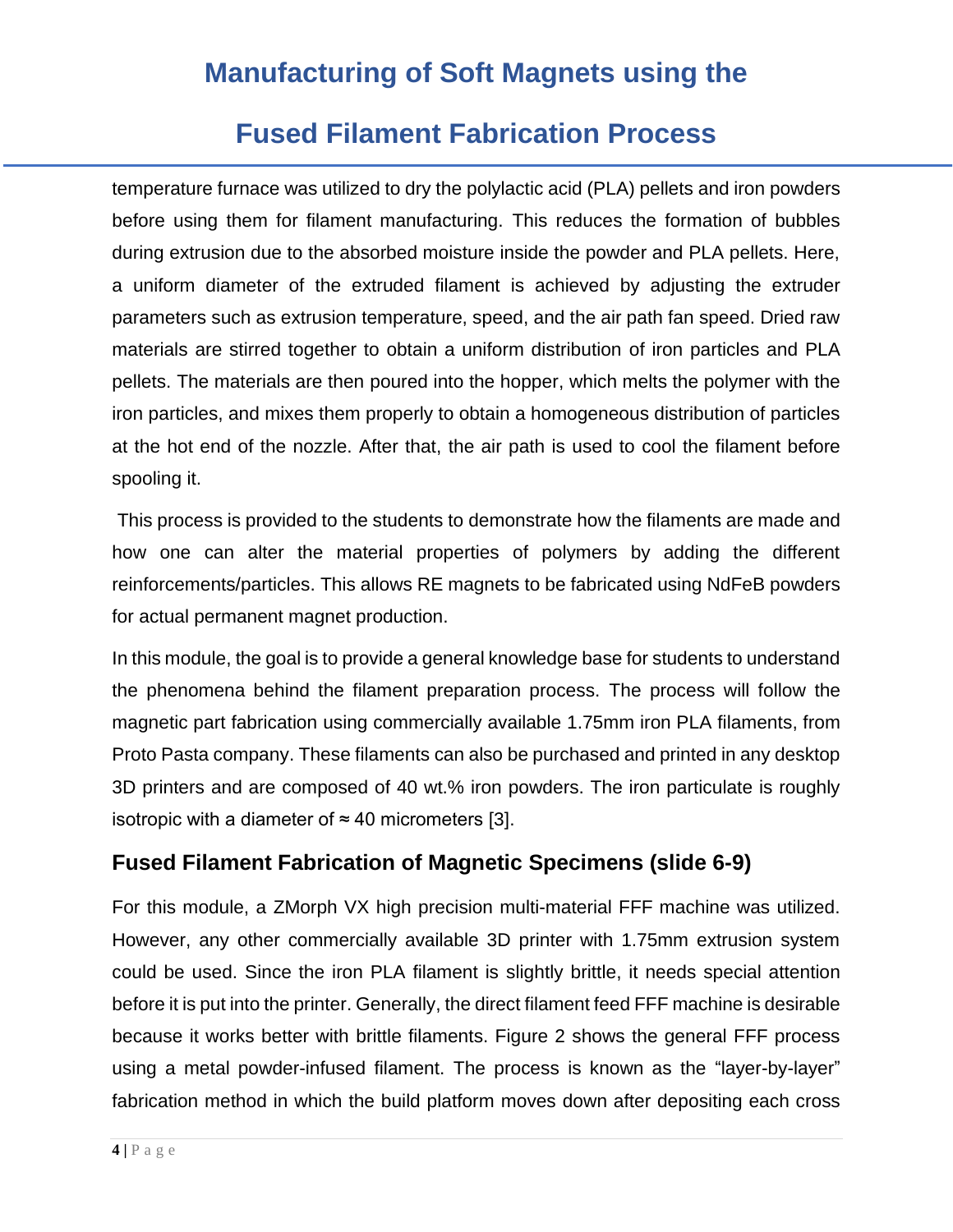### **Fused Filament Fabrication Process**

temperature furnace was utilized to dry the polylactic acid (PLA) pellets and iron powders before using them for filament manufacturing. This reduces the formation of bubbles during extrusion due to the absorbed moisture inside the powder and PLA pellets. Here, a uniform diameter of the extruded filament is achieved by adjusting the extruder parameters such as extrusion temperature, speed, and the air path fan speed. Dried raw materials are stirred together to obtain a uniform distribution of iron particles and PLA pellets. The materials are then poured into the hopper, which melts the polymer with the iron particles, and mixes them properly to obtain a homogeneous distribution of particles at the hot end of the nozzle. After that, the air path is used to cool the filament before spooling it.

This process is provided to the students to demonstrate how the filaments are made and how one can alter the material properties of polymers by adding the different reinforcements/particles. This allows RE magnets to be fabricated using NdFeB powders for actual permanent magnet production.

In this module, the goal is to provide a general knowledge base for students to understand the phenomena behind the filament preparation process. The process will follow the magnetic part fabrication using commercially available 1.75mm iron PLA filaments, from Proto Pasta company. These filaments can also be purchased and printed in any desktop 3D printers and are composed of 40 wt.% iron powders. The iron particulate is roughly isotropic with a diameter of  $\approx$  40 micrometers [3].

### **Fused Filament Fabrication of Magnetic Specimens (slide 6-9)**

For this module, a ZMorph VX high precision multi-material FFF machine was utilized. However, any other commercially available 3D printer with 1.75mm extrusion system could be used. Since the iron PLA filament is slightly brittle, it needs special attention before it is put into the printer. Generally, the direct filament feed FFF machine is desirable because it works better with brittle filaments. Figure 2 shows the general FFF process using a metal powder-infused filament. The process is known as the "layer-by-layer" fabrication method in which the build platform moves down after depositing each cross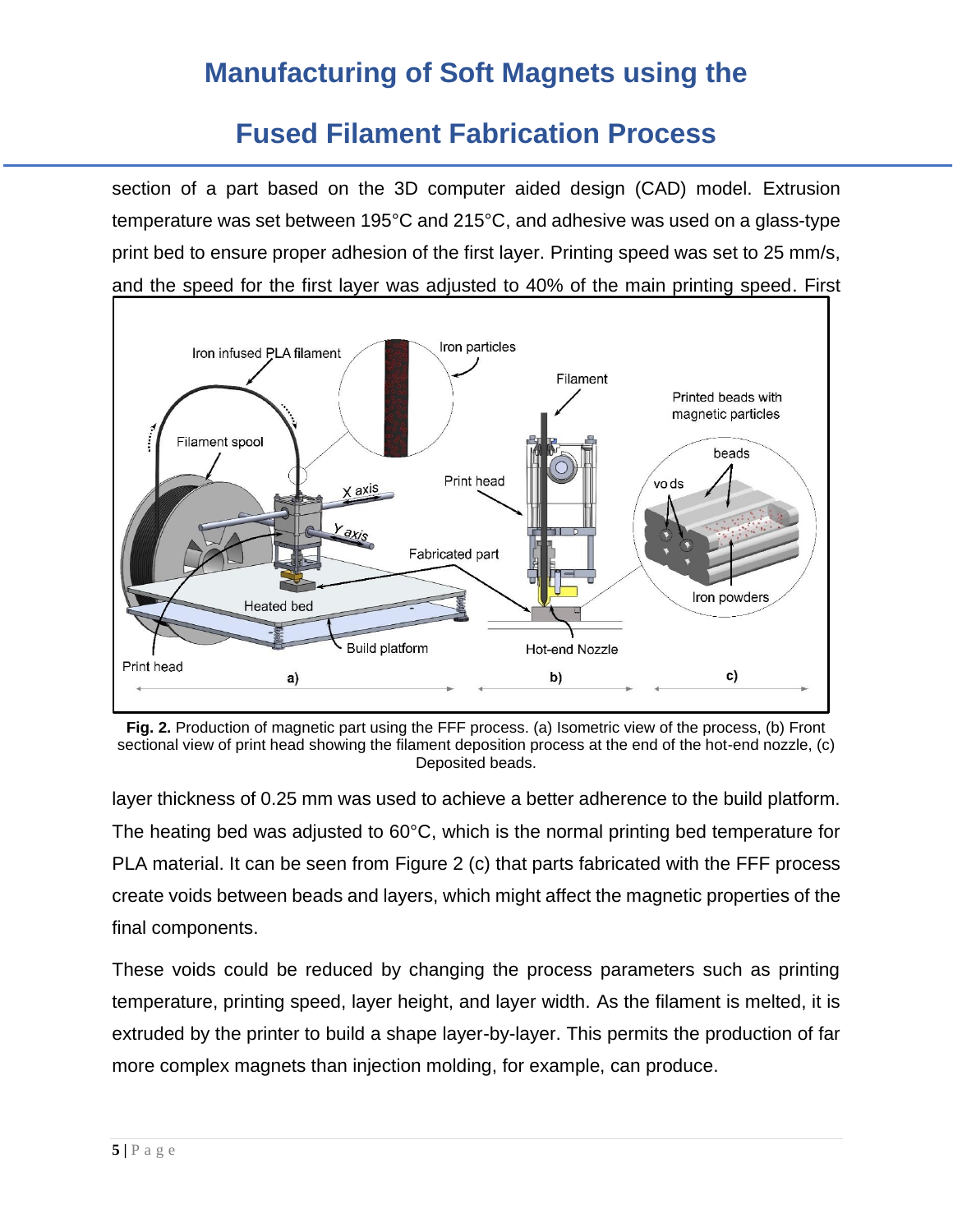### **Fused Filament Fabrication Process**

section of a part based on the 3D computer aided design (CAD) model. Extrusion temperature was set between 195°C and 215°C, and adhesive was used on a glass-type print bed to ensure proper adhesion of the first layer. Printing speed was set to 25 mm/s, and the speed for the first layer was adjusted to 40% of the main printing speed. First



**Fig. 2.** Production of magnetic part using the FFF process. (a) Isometric view of the process, (b) Front sectional view of print head showing the filament deposition process at the end of the hot-end nozzle, (c) Deposited beads.

layer thickness of 0.25 mm was used to achieve a better adherence to the build platform. The heating bed was adjusted to 60°C, which is the normal printing bed temperature for PLA material. It can be seen from Figure 2 (c) that parts fabricated with the FFF process create voids between beads and layers, which might affect the magnetic properties of the final components.

These voids could be reduced by changing the process parameters such as printing temperature, printing speed, layer height, and layer width. As the filament is melted, it is extruded by the printer to build a shape layer-by-layer. This permits the production of far more complex magnets than injection molding, for example, can produce.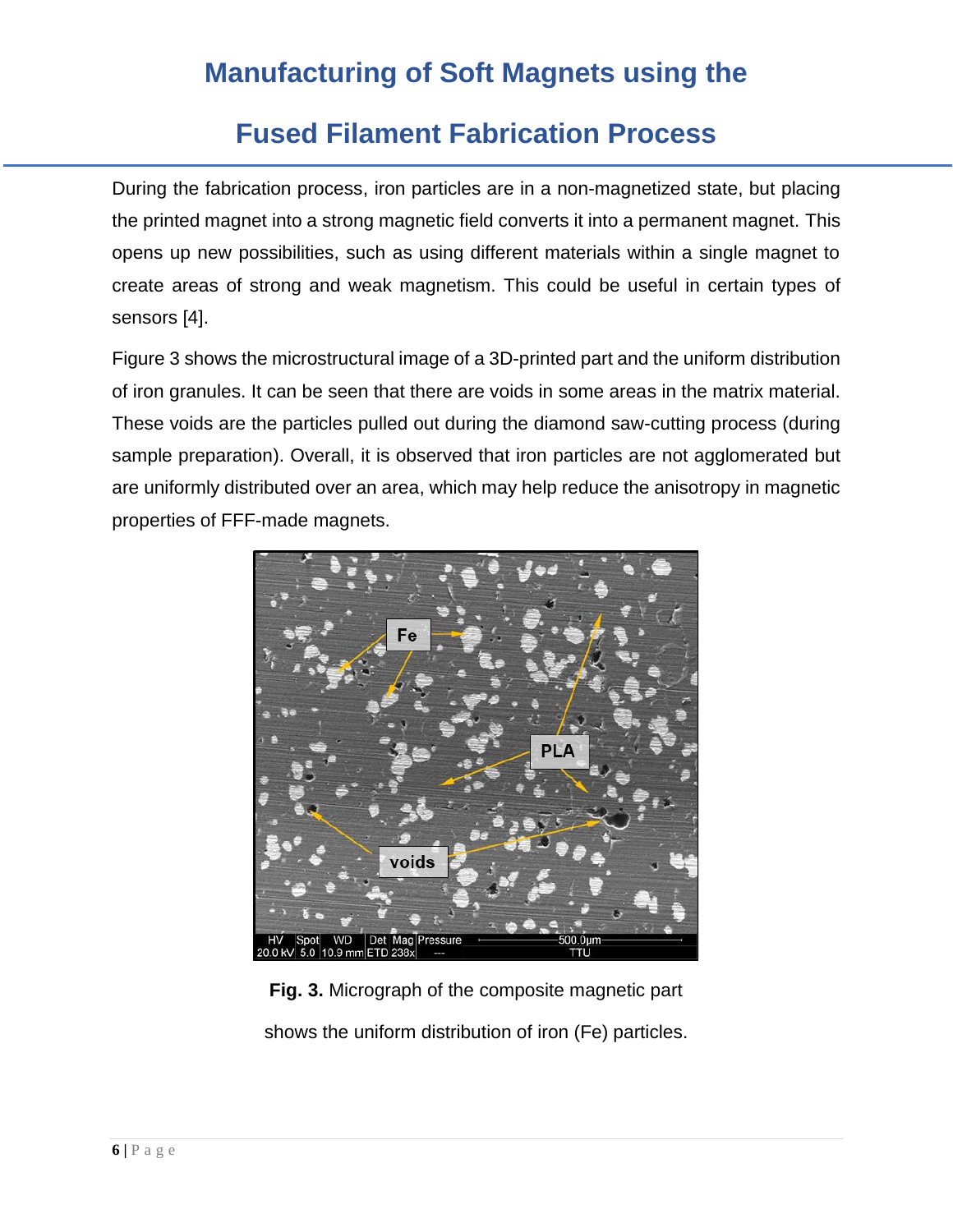### **Fused Filament Fabrication Process**

During the fabrication process, iron particles are in a non-magnetized state, but placing the printed magnet into a strong magnetic field converts it into a permanent magnet. This opens up new possibilities, such as using different materials within a single magnet to create areas of strong and weak magnetism. This could be useful in certain types of sensors [4].

Figure 3 shows the microstructural image of a 3D-printed part and the uniform distribution of iron granules. It can be seen that there are voids in some areas in the matrix material. These voids are the particles pulled out during the diamond saw-cutting process (during sample preparation). Overall, it is observed that iron particles are not agglomerated but are uniformly distributed over an area, which may help reduce the anisotropy in magnetic properties of FFF-made magnets.



**Fig. 3.** Micrograph of the composite magnetic part shows the uniform distribution of iron (Fe) particles.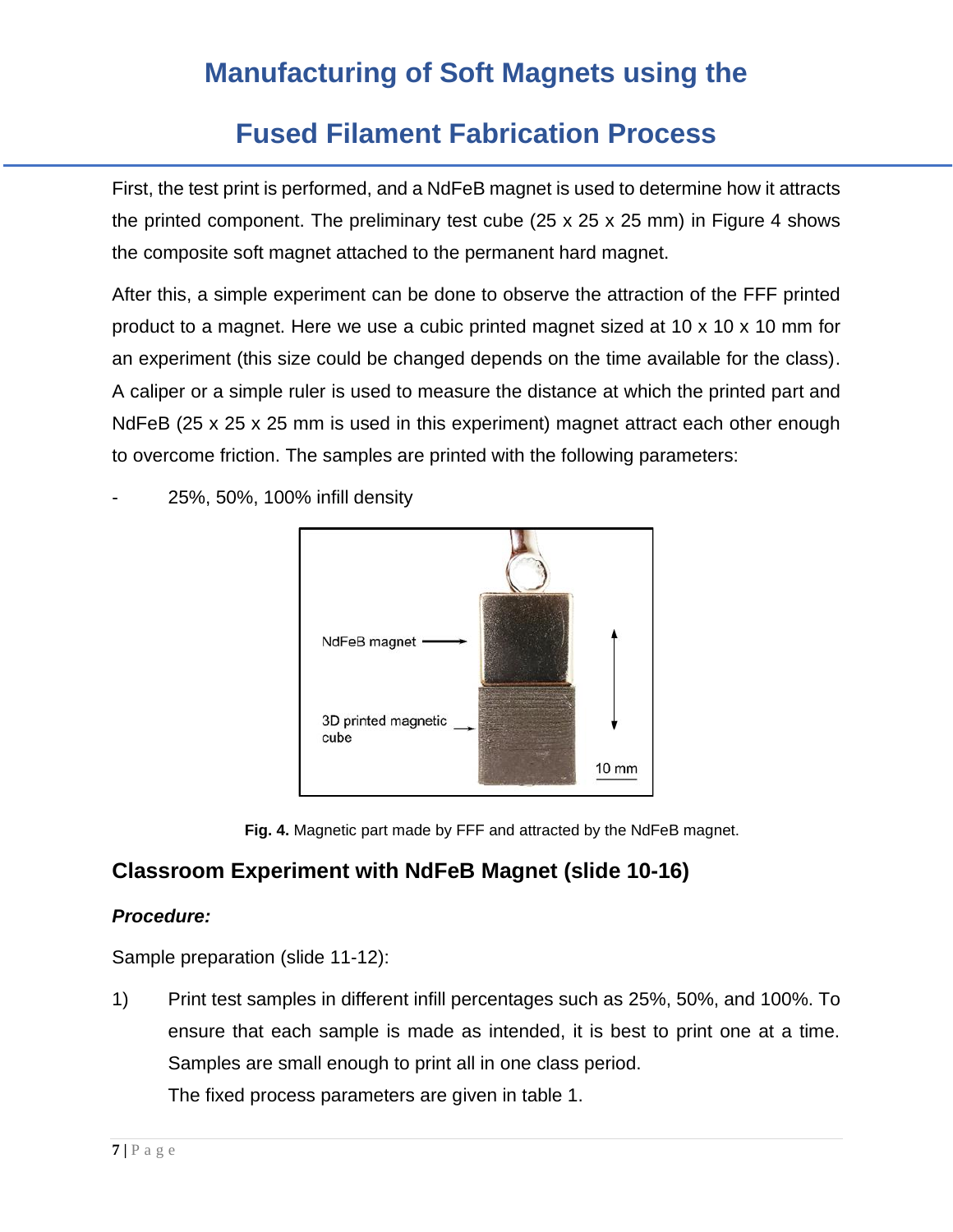# **Fused Filament Fabrication Process**

First, the test print is performed, and a NdFeB magnet is used to determine how it attracts the printed component. The preliminary test cube  $(25 \times 25 \times 25 \text{ mm})$  in Figure 4 shows the composite soft magnet attached to the permanent hard magnet.

After this, a simple experiment can be done to observe the attraction of the FFF printed product to a magnet. Here we use a cubic printed magnet sized at 10 x 10 x 10 mm for an experiment (this size could be changed depends on the time available for the class). A caliper or a simple ruler is used to measure the distance at which the printed part and NdFeB (25 x 25 x 25 mm is used in this experiment) magnet attract each other enough to overcome friction. The samples are printed with the following parameters:



- 25%, 50%, 100% infill density

**Fig. 4.** Magnetic part made by FFF and attracted by the NdFeB magnet.

### **Classroom Experiment with NdFeB Magnet (slide 10-16)**

#### *Procedure:*

Sample preparation (slide 11-12):

1) Print test samples in different infill percentages such as 25%, 50%, and 100%. To ensure that each sample is made as intended, it is best to print one at a time. Samples are small enough to print all in one class period.

The fixed process parameters are given in table 1.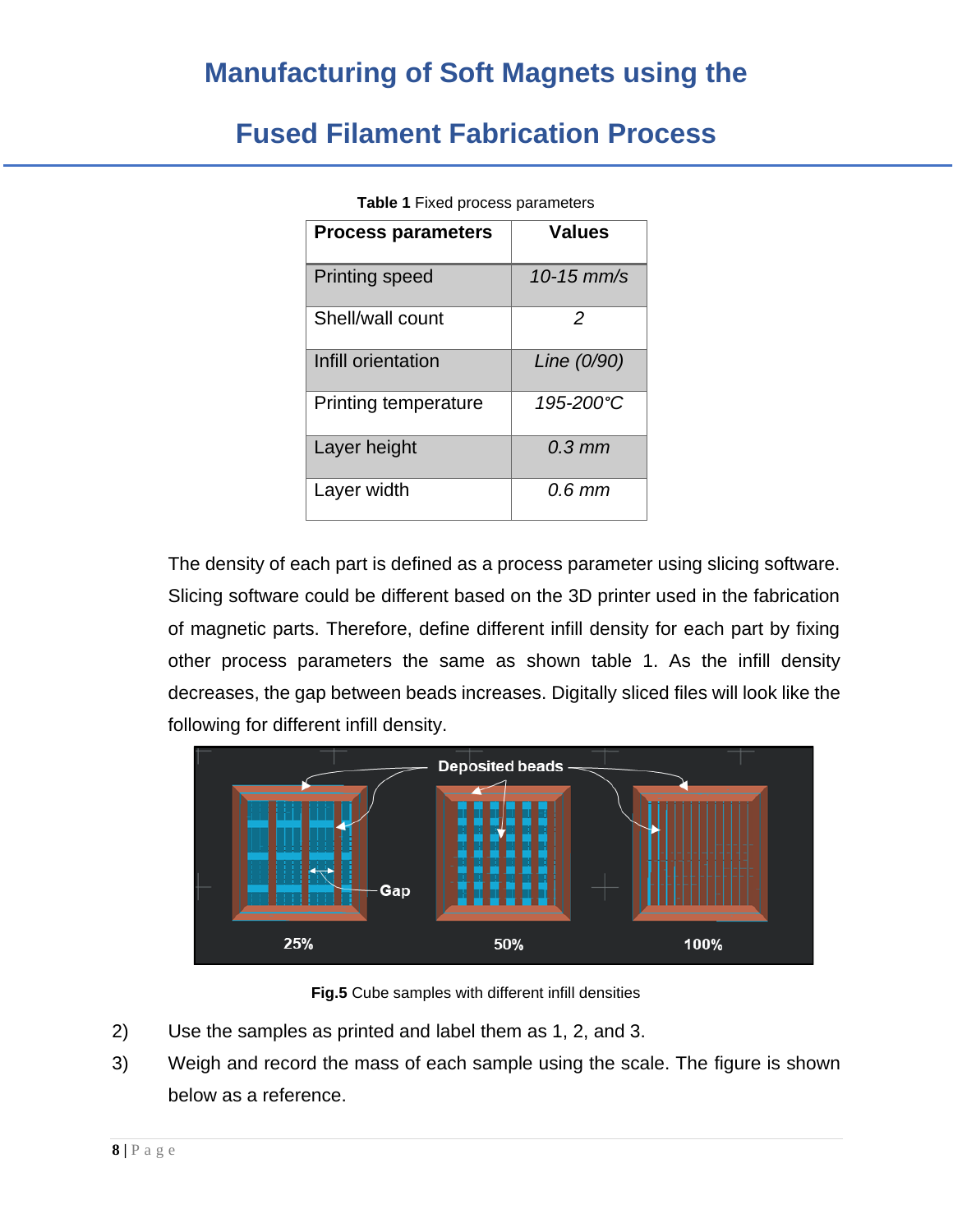### **Fused Filament Fabrication Process**

| <b>Process parameters</b>   | <b>Values</b>      |  |  |
|-----------------------------|--------------------|--|--|
|                             |                    |  |  |
| <b>Printing speed</b>       | $10 - 15$ mm/s     |  |  |
| Shell/wall count            | 2                  |  |  |
| Infill orientation          | Line (0/90)        |  |  |
| <b>Printing temperature</b> | 195-200°C          |  |  |
| Layer height                | $0.3 \, \text{mm}$ |  |  |
| Layer width                 | 0.6 mm             |  |  |

**Table 1** Fixed process parameters

The density of each part is defined as a process parameter using slicing software. Slicing software could be different based on the 3D printer used in the fabrication of magnetic parts. Therefore, define different infill density for each part by fixing other process parameters the same as shown table 1. As the infill density decreases, the gap between beads increases. Digitally sliced files will look like the following for different infill density.



**Fig.5** Cube samples with different infill densities

- 2) Use the samples as printed and label them as 1, 2, and 3.
- 3) Weigh and record the mass of each sample using the scale. The figure is shown below as a reference.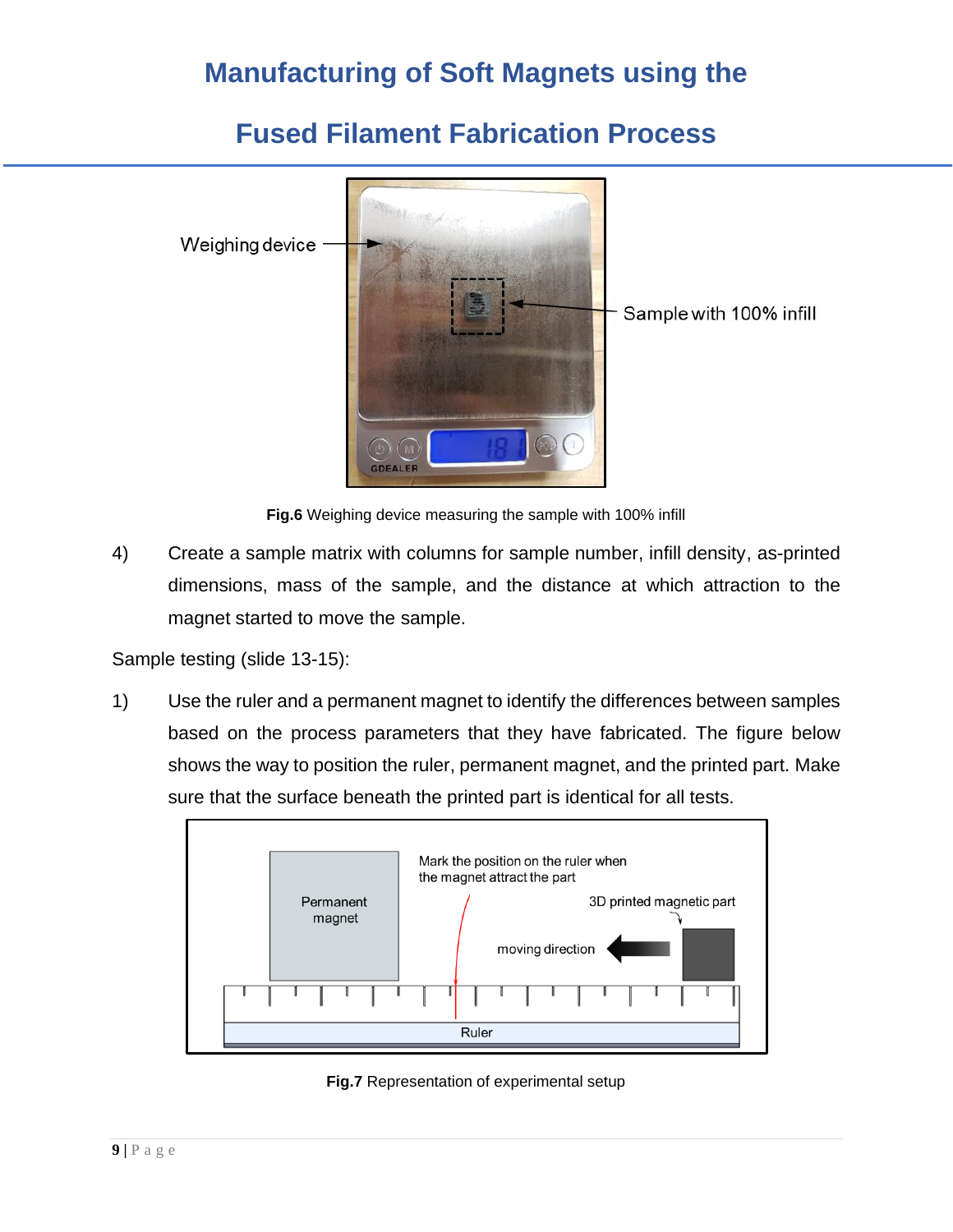### **Fused Filament Fabrication Process**



**Fig.6** Weighing device measuring the sample with 100% infill

4) Create a sample matrix with columns for sample number, infill density, as-printed dimensions, mass of the sample, and the distance at which attraction to the magnet started to move the sample.

Sample testing (slide 13-15):

1) Use the ruler and a permanent magnet to identify the differences between samples based on the process parameters that they have fabricated. The figure below shows the way to position the ruler, permanent magnet, and the printed part. Make sure that the surface beneath the printed part is identical for all tests.



**Fig.7** Representation of experimental setup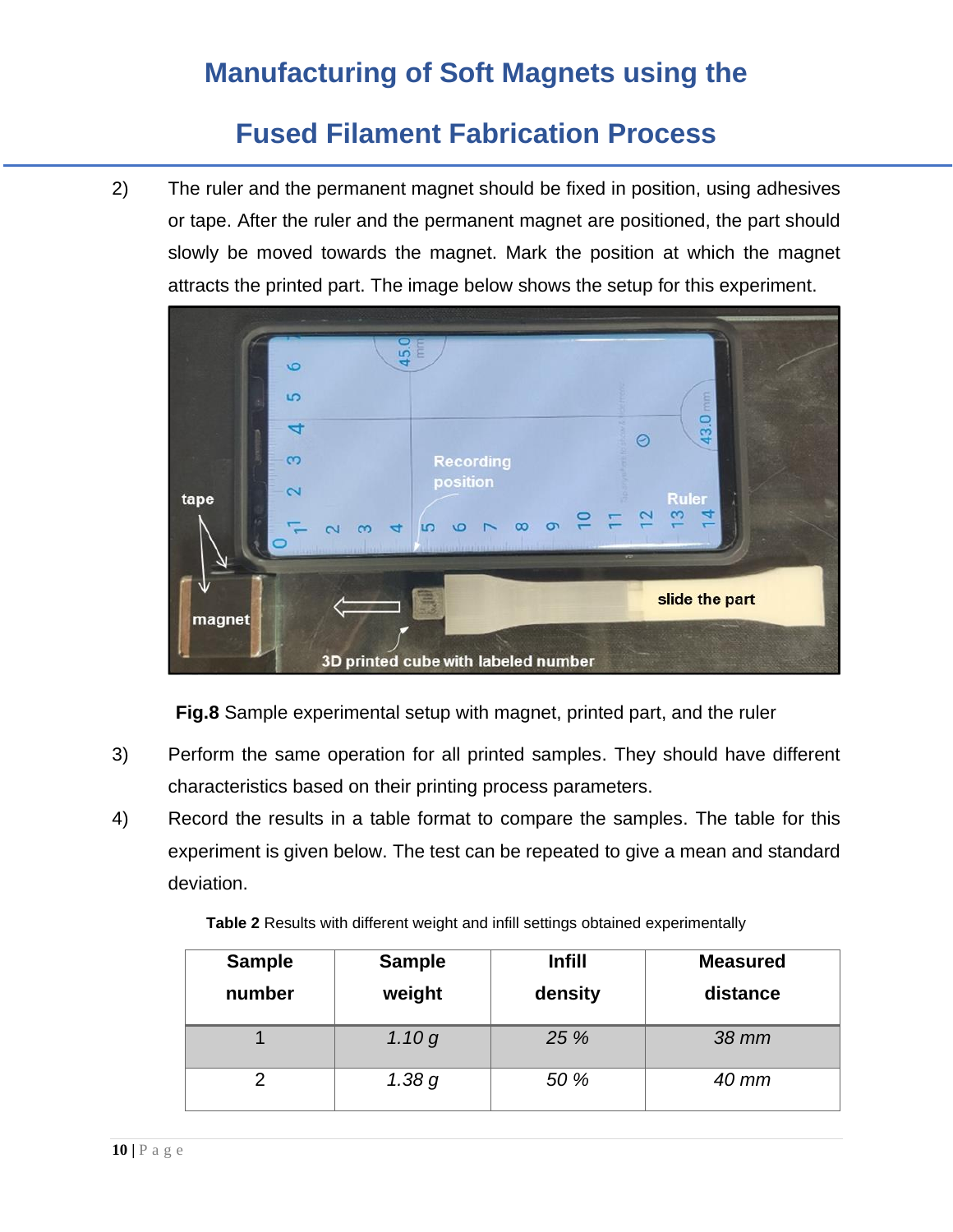### **Fused Filament Fabrication Process**

2) The ruler and the permanent magnet should be fixed in position, using adhesives or tape. After the ruler and the permanent magnet are positioned, the part should slowly be moved towards the magnet. Mark the position at which the magnet attracts the printed part. The image below shows the setup for this experiment.



**Fig.8** Sample experimental setup with magnet, printed part, and the ruler

- 3) Perform the same operation for all printed samples. They should have different characteristics based on their printing process parameters.
- 4) Record the results in a table format to compare the samples. The table for this experiment is given below. The test can be repeated to give a mean and standard deviation.

**Table 2** Results with different weight and infill settings obtained experimentally

| <b>Sample</b><br>number | <b>Sample</b><br>weight | <b>Infill</b><br>density | <b>Measured</b><br>distance |
|-------------------------|-------------------------|--------------------------|-----------------------------|
|                         | 1.10g                   | 25 %                     | 38 mm                       |
|                         | 1.38 g                  | 50 %                     | 40 mm                       |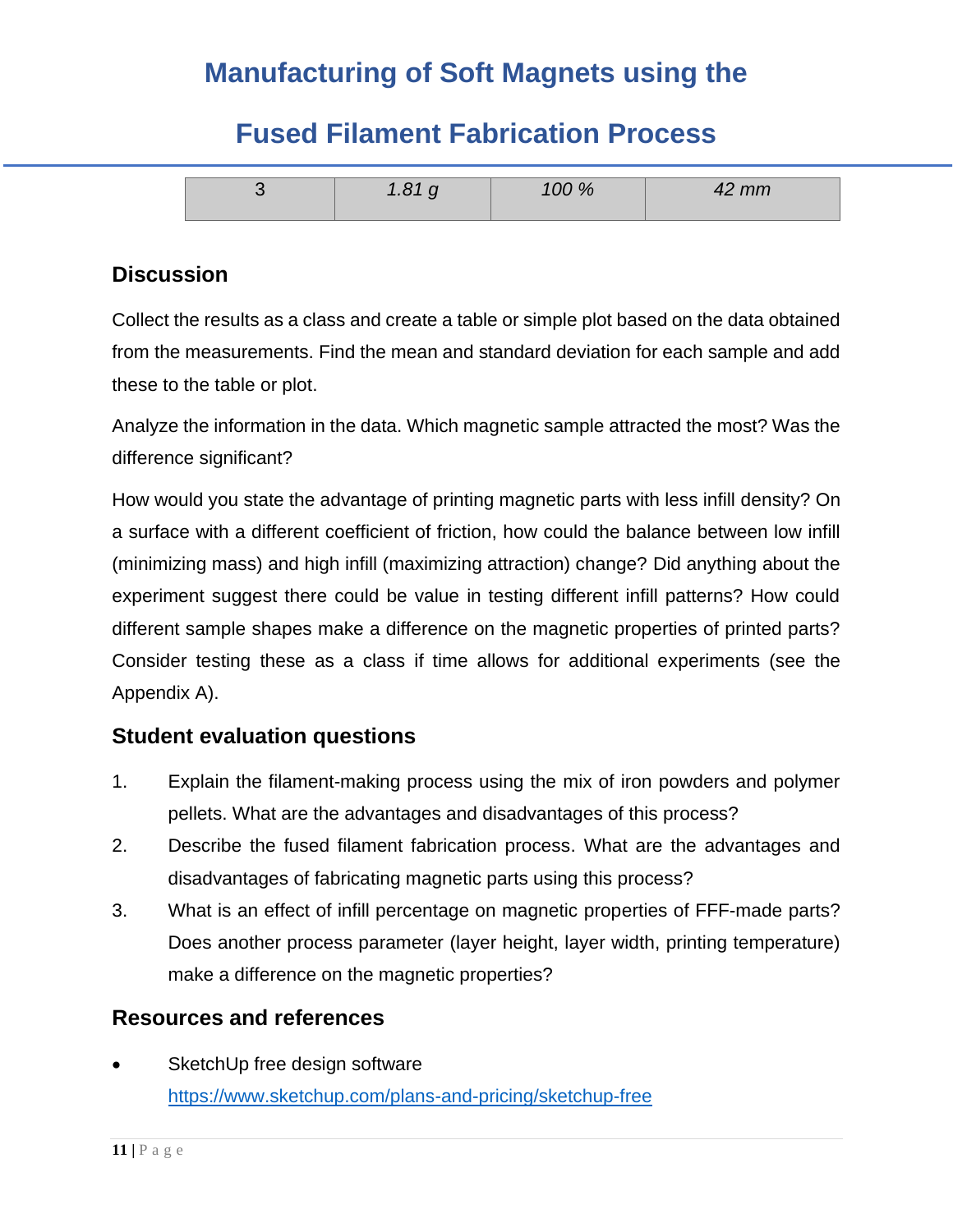## **Fused Filament Fabrication Process**

|  | 100 % | mm |
|--|-------|----|
|  |       |    |

### **Discussion**

Collect the results as a class and create a table or simple plot based on the data obtained from the measurements. Find the mean and standard deviation for each sample and add these to the table or plot.

Analyze the information in the data. Which magnetic sample attracted the most? Was the difference significant?

How would you state the advantage of printing magnetic parts with less infill density? On a surface with a different coefficient of friction, how could the balance between low infill (minimizing mass) and high infill (maximizing attraction) change? Did anything about the experiment suggest there could be value in testing different infill patterns? How could different sample shapes make a difference on the magnetic properties of printed parts? Consider testing these as a class if time allows for additional experiments (see the Appendix A).

### **Student evaluation questions**

- 1. Explain the filament-making process using the mix of iron powders and polymer pellets. What are the advantages and disadvantages of this process?
- 2. Describe the fused filament fabrication process. What are the advantages and disadvantages of fabricating magnetic parts using this process?
- 3. What is an effect of infill percentage on magnetic properties of FFF-made parts? Does another process parameter (layer height, layer width, printing temperature) make a difference on the magnetic properties?

### **Resources and references**

SketchUp free design software <https://www.sketchup.com/plans-and-pricing/sketchup-free>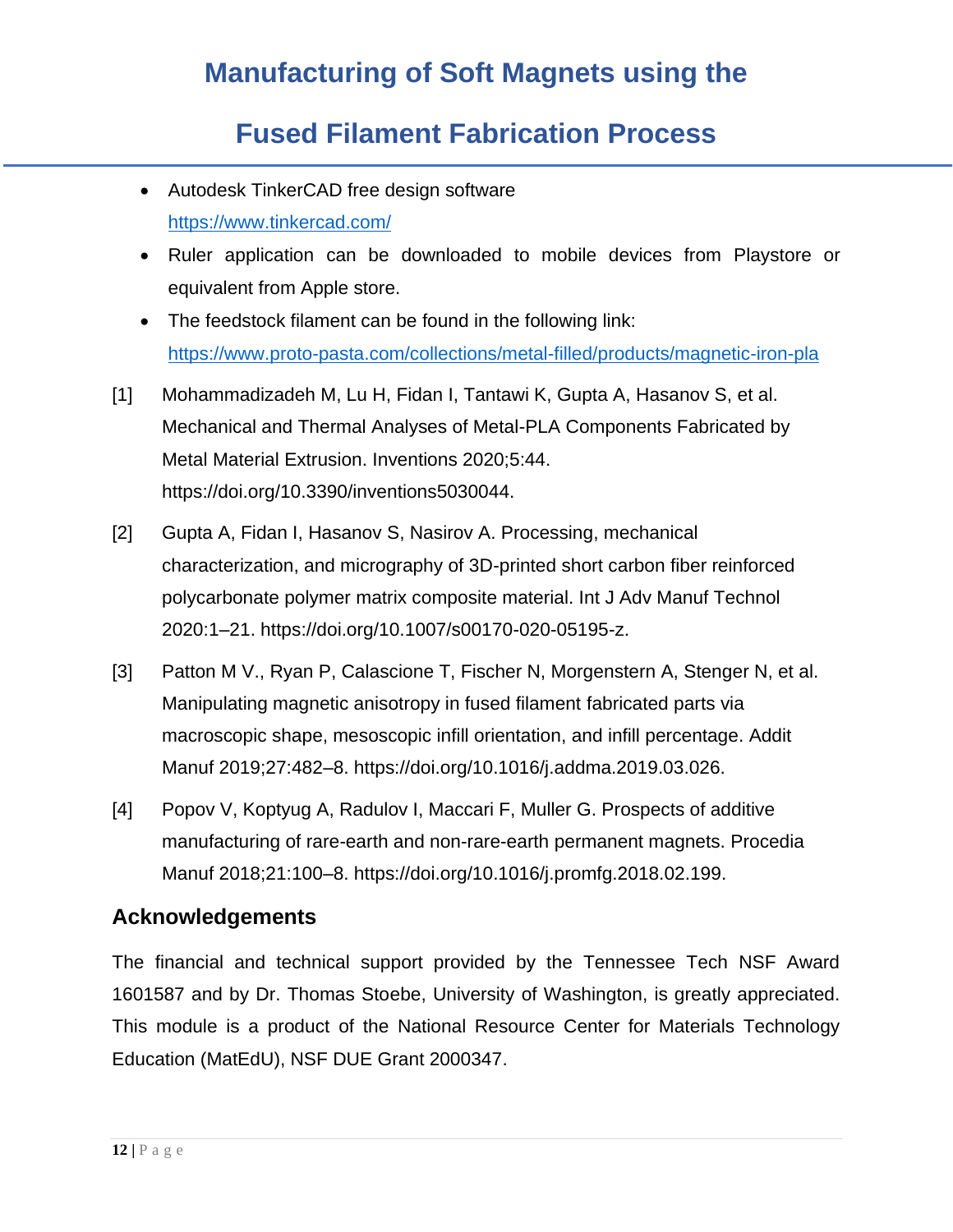# **Fused Filament Fabrication Process**

- Autodesk TinkerCAD free design software <https://www.tinkercad.com/>
- Ruler application can be downloaded to mobile devices from Playstore or equivalent from Apple store.
- The feedstock filament can be found in the following link: <https://www.proto-pasta.com/collections/metal-filled/products/magnetic-iron-pla>
- [1] Mohammadizadeh M, Lu H, Fidan I, Tantawi K, Gupta A, Hasanov S, et al. Mechanical and Thermal Analyses of Metal-PLA Components Fabricated by Metal Material Extrusion. Inventions 2020;5:44. https://doi.org/10.3390/inventions5030044.
- [2] Gupta A, Fidan I, Hasanov S, Nasirov A. Processing, mechanical characterization, and micrography of 3D-printed short carbon fiber reinforced polycarbonate polymer matrix composite material. Int J Adv Manuf Technol 2020:1–21. https://doi.org/10.1007/s00170-020-05195-z.
- [3] Patton M V., Ryan P, Calascione T, Fischer N, Morgenstern A, Stenger N, et al. Manipulating magnetic anisotropy in fused filament fabricated parts via macroscopic shape, mesoscopic infill orientation, and infill percentage. Addit Manuf 2019;27:482–8. https://doi.org/10.1016/j.addma.2019.03.026.
- [4] Popov V, Koptyug A, Radulov I, Maccari F, Muller G. Prospects of additive manufacturing of rare-earth and non-rare-earth permanent magnets. Procedia Manuf 2018;21:100–8. https://doi.org/10.1016/j.promfg.2018.02.199.

### **Acknowledgements**

The financial and technical support provided by the Tennessee Tech NSF Award 1601587 and by Dr. Thomas Stoebe, University of Washington, is greatly appreciated. This module is a product of the National Resource Center for Materials Technology Education (MatEdU), NSF DUE Grant 2000347.